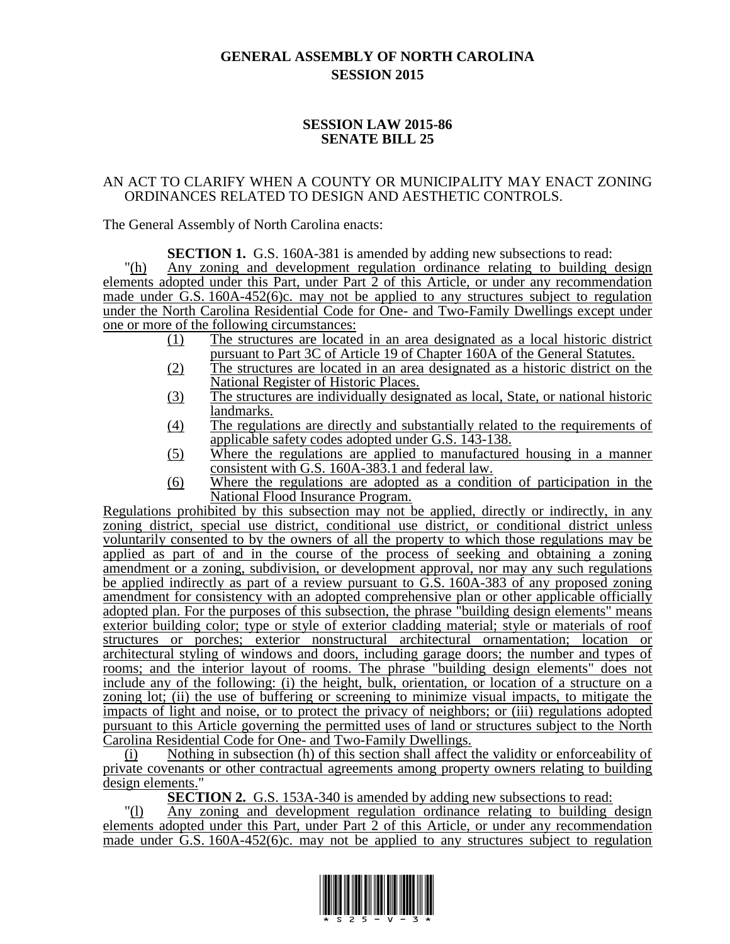## **GENERAL ASSEMBLY OF NORTH CAROLINA SESSION 2015**

## **SESSION LAW 2015-86 SENATE BILL 25**

## AN ACT TO CLARIFY WHEN A COUNTY OR MUNICIPALITY MAY ENACT ZONING ORDINANCES RELATED TO DESIGN AND AESTHETIC CONTROLS.

The General Assembly of North Carolina enacts:

**SECTION 1.** G.S. 160A-381 is amended by adding new subsections to read: "(h) Any zoning and development regulation ordinance relating to building design elements adopted under this Part, under Part 2 of this Article, or under any recommendation made under G.S. 160A-452(6)c. may not be applied to any structures subject to regulation under the North Carolina Residential Code for One- and Two-Family Dwellings except under one or more of the following circumstances:

- (1) The structures are located in an area designated as a local historic district pursuant to Part 3C of Article 19 of Chapter 160A of the General Statutes.
- (2) The structures are located in an area designated as a historic district on the National Register of Historic Places.
- (3) The structures are individually designated as local, State, or national historic landmarks.
- (4) The regulations are directly and substantially related to the requirements of applicable safety codes adopted under G.S. 143-138.
- (5) Where the regulations are applied to manufactured housing in a manner consistent with G.S. 160A-383.1 and federal law.
- (6) Where the regulations are adopted as a condition of participation in the National Flood Insurance Program.

Regulations prohibited by this subsection may not be applied, directly or indirectly, in any zoning district, special use district, conditional use district, or conditional district unless voluntarily consented to by the owners of all the property to which those regulations may be applied as part of and in the course of the process of seeking and obtaining a zoning amendment or a zoning, subdivision, or development approval, nor may any such regulations be applied indirectly as part of a review pursuant to G.S. 160A-383 of any proposed zoning amendment for consistency with an adopted comprehensive plan or other applicable officially adopted plan. For the purposes of this subsection, the phrase "building design elements" means exterior building color; type or style of exterior cladding material; style or materials of roof structures or porches; exterior nonstructural architectural ornamentation; location or architectural styling of windows and doors, including garage doors; the number and types of rooms; and the interior layout of rooms. The phrase "building design elements" does not include any of the following: (i) the height, bulk, orientation, or location of a structure on a zoning lot; (ii) the use of buffering or screening to minimize visual impacts, to mitigate the impacts of light and noise, or to protect the privacy of neighbors; or (iii) regulations adopted pursuant to this Article governing the permitted uses of land or structures subject to the North Carolina Residential Code for One- and Two-Family Dwellings.

(i) Nothing in subsection (h) of this section shall affect the validity or enforceability of private covenants or other contractual agreements among property owners relating to building design elements."

**SECTION 2.** G.S. 153A-340 is amended by adding new subsections to read:

"(l) Any zoning and development regulation ordinance relating to building design elements adopted under this Part, under Part 2 of this Article, or under any recommendation made under  $\overline{G.S.}$  160A-452(6)c. may not be applied to any structures subject to regulation